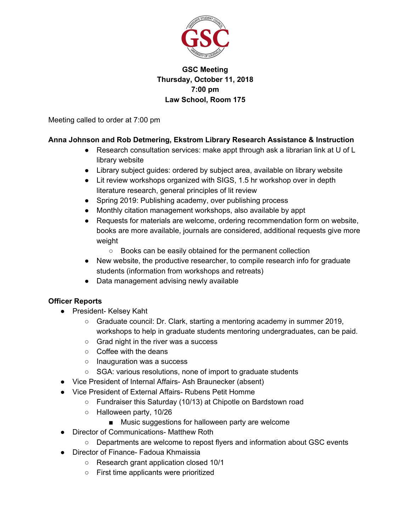

# **GSC Meeting Thursday, October 11, 2018 7:00 pm Law School, Room 175**

Meeting called to order at 7:00 pm

# **Anna Johnson and Rob Detmering, Ekstrom Library Research Assistance & Instruction**

- Research consultation services: make appt through ask a librarian link at U of L library website
- Library subject guides: ordered by subject area, available on library website
- Lit review workshops organized with SIGS, 1.5 hr workshop over in depth literature research, general principles of lit review
- Spring 2019: Publishing academy, over publishing process
- Monthly citation management workshops, also available by appt
- Requests for materials are welcome, ordering recommendation form on website, books are more available, journals are considered, additional requests give more weight
	- Books can be easily obtained for the permanent collection
- New website, the productive researcher, to compile research info for graduate students (information from workshops and retreats)
- Data management advising newly available

## **Officer Reports**

- President- Kelsey Kaht
	- Graduate council: Dr. Clark, starting a mentoring academy in summer 2019, workshops to help in graduate students mentoring undergraduates, can be paid.
	- Grad night in the river was a success
	- Coffee with the deans
	- Inauguration was a success
	- SGA: various resolutions, none of import to graduate students
- Vice President of Internal Affairs- Ash Braunecker (absent)
- Vice President of External Affairs- Rubens Petit Homme
	- Fundraiser this Saturday (10/13) at Chipotle on Bardstown road
	- Halloween party, 10/26
		- Music suggestions for halloween party are welcome
- Director of Communications- Matthew Roth
	- Departments are welcome to repost flyers and information about GSC events
- Director of Finance- Fadoua Khmaissia
	- Research grant application closed 10/1
	- First time applicants were prioritized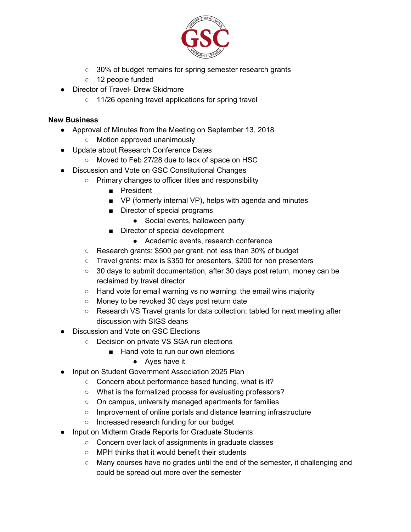

- 30% of budget remains for spring semester research grants
- 12 people funded
- Director of Travel- Drew Skidmore
	- 11/26 opening travel applications for spring travel

#### **New Business**

- Approval of Minutes from the Meeting on September 13, 2018
	- Motion approved unanimously
- Update about Research Conference Dates
	- Moved to Feb 27/28 due to lack of space on HSC
- Discussion and Vote on GSC Constitutional Changes
	- Primary changes to officer titles and responsibility
		- President
		- VP (formerly internal VP), helps with agenda and minutes
		- Director of special programs
			- Social events, halloween party
		- Director of special development
			- Academic events, research conference
	- Research grants: \$500 per grant, not less than 30% of budget
	- Travel grants: max is \$350 for presenters, \$200 for non presenters
	- $\circ$  30 days to submit documentation, after 30 days post return, money can be reclaimed by travel director
	- Hand vote for email warning vs no warning: the email wins majority
	- Money to be revoked 30 days post return date
	- Research VS Travel grants for data collection: tabled for next meeting after discussion with SIGS deans
- **Discussion and Vote on GSC Elections** 
	- Decision on private VS SGA run elections
		- Hand vote to run our own elections
			- Ayes have it
- Input on Student Government Association 2025 Plan
	- Concern about performance based funding, what is it?
	- What is the formalized process for evaluating professors?
	- On campus, university managed apartments for families
	- Improvement of online portals and distance learning infrastructure
	- Increased research funding for our budget
- Input on Midterm Grade Reports for Graduate Students
	- Concern over lack of assignments in graduate classes
	- MPH thinks that it would benefit their students
	- Many courses have no grades until the end of the semester, it challenging and could be spread out more over the semester